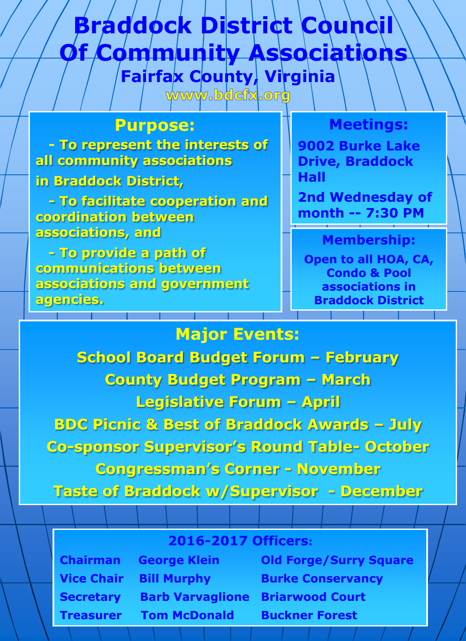## **Fairfax County, Virginia Braddock District Council Of Community Associations**

www.bdcfx.org

#### **Purpose:**

 **- To represent the interests of all community associations**

**in Braddock District,** 

 **- To facilitate cooperation and coordination between associations, and** 

 **- To provide a path of communications between associations and government agencies.**

### **Meetings:**

**9002 Burke Lake Drive, Braddock Hall**

**2nd Wednesday of month -- 7:30 PM**

### **Membership:**

**Open to all HOA, CA, Condo & Pool associations in Braddock District**

## **Major Events: School Board Budget Forum – February County Budget Program – March Legislative Forum – April BDC Picnic & Best of Braddock Awards – July Co-sponsor Supervisor's Round Table- October Congressman's Corner - November Taste of Braddock w/Supervisor - December**

### **2016-2017 Officers:**

**Chairman George Klein Old Forge/Surry Square Vice Chair Bill Murphy Burke Conservancy Secretary Barb Varvaglione Briarwood Court Treasurer Tom McDonald Buckner Forest**